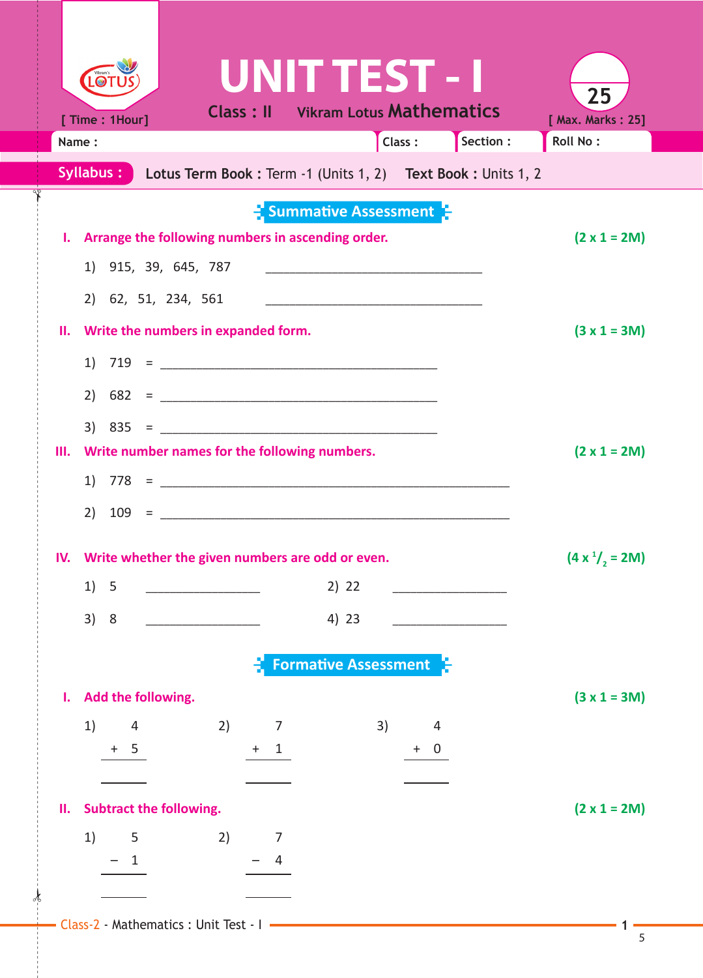| $\bullet$                                               | UNIT TEST - I                                                                                                         |  |
|---------------------------------------------------------|-----------------------------------------------------------------------------------------------------------------------|--|
| [ Time : 1Hour]                                         | 25<br><b>Class: Il Vikram Lotus Mathematics</b><br>[ Max. Marks: 25]                                                  |  |
| Name:                                                   | Class:<br>Section :<br><b>Roll No:</b>                                                                                |  |
|                                                         | Syllabus: Lotus Term Book: Term -1 (Units 1, 2) Text Book: Units 1, 2                                                 |  |
|                                                         | $\frac{1}{2}$ Summative Assessment $\frac{1}{2}$                                                                      |  |
| Arrange the following numbers in ascending order.<br>ь. | $(2 \times 1 = 2M)$                                                                                                   |  |
| 1) 915, 39, 645, 787                                    |                                                                                                                       |  |
| 2) 62, 51, 234, 561                                     | <u> 1989 - Johann Harry Harry Harry Harry Harry Harry Harry Harry Harry Harry Harry Harry Harry Harry Harry Harry</u> |  |
| II. Write the numbers in expanded form.                 | $(3 x 1 = 3M)$                                                                                                        |  |
|                                                         |                                                                                                                       |  |
|                                                         |                                                                                                                       |  |
| $3)$ 835 =                                              |                                                                                                                       |  |
| Write number names for the following numbers.<br>Ш.     | $(2 \times 1 = 2M)$                                                                                                   |  |
|                                                         |                                                                                                                       |  |
| 2)                                                      |                                                                                                                       |  |
| Write whether the given numbers are odd or even.<br>IV. | $(4 x1/2 = 2M)$                                                                                                       |  |
| 1)<br>5                                                 | 2) 22                                                                                                                 |  |
| 3)<br>8                                                 | 4) 23                                                                                                                 |  |
|                                                         |                                                                                                                       |  |
|                                                         | <b>Formative Assessment</b>                                                                                           |  |
| Add the following.<br>Ι.                                | $(3 x 1 = 3M)$                                                                                                        |  |
| 1)<br>2)<br>4<br>7                                      | 3)<br>4                                                                                                               |  |
| 5<br>$+$<br>$+$<br>$\mathbf{1}$                         | $+ 0$                                                                                                                 |  |
|                                                         |                                                                                                                       |  |
| <b>Subtract the following.</b><br>н.                    | $(2 \times 1 = 2M)$                                                                                                   |  |
| 1)<br>2)<br>5<br>7<br>$\mathbf{1}$<br>4                 |                                                                                                                       |  |
|                                                         |                                                                                                                       |  |
| Class-2 - Mathematics : Unit Test - I                   |                                                                                                                       |  |